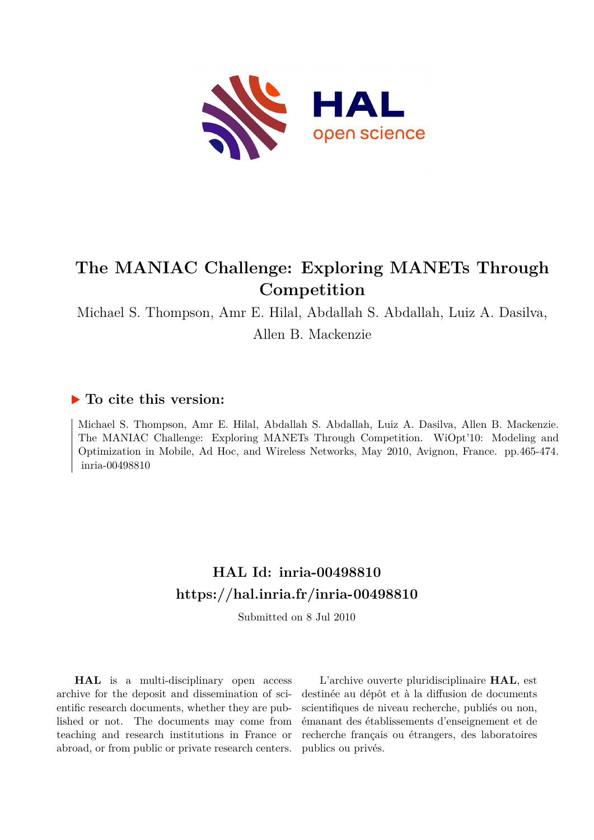

## **The MANIAC Challenge: Exploring MANETs Through Competition**

Michael S. Thompson, Amr E. Hilal, Abdallah S. Abdallah, Luiz A. Dasilva, Allen B. Mackenzie

### **To cite this version:**

Michael S. Thompson, Amr E. Hilal, Abdallah S. Abdallah, Luiz A. Dasilva, Allen B. Mackenzie. The MANIAC Challenge: Exploring MANETs Through Competition. WiOpt'10: Modeling and Optimization in Mobile, Ad Hoc, and Wireless Networks, May 2010, Avignon, France. pp.465-474. inria-00498810

## **HAL Id: inria-00498810 <https://hal.inria.fr/inria-00498810>**

Submitted on 8 Jul 2010

**HAL** is a multi-disciplinary open access archive for the deposit and dissemination of scientific research documents, whether they are published or not. The documents may come from teaching and research institutions in France or abroad, or from public or private research centers.

L'archive ouverte pluridisciplinaire **HAL**, est destinée au dépôt et à la diffusion de documents scientifiques de niveau recherche, publiés ou non, émanant des établissements d'enseignement et de recherche français ou étrangers, des laboratoires publics ou privés.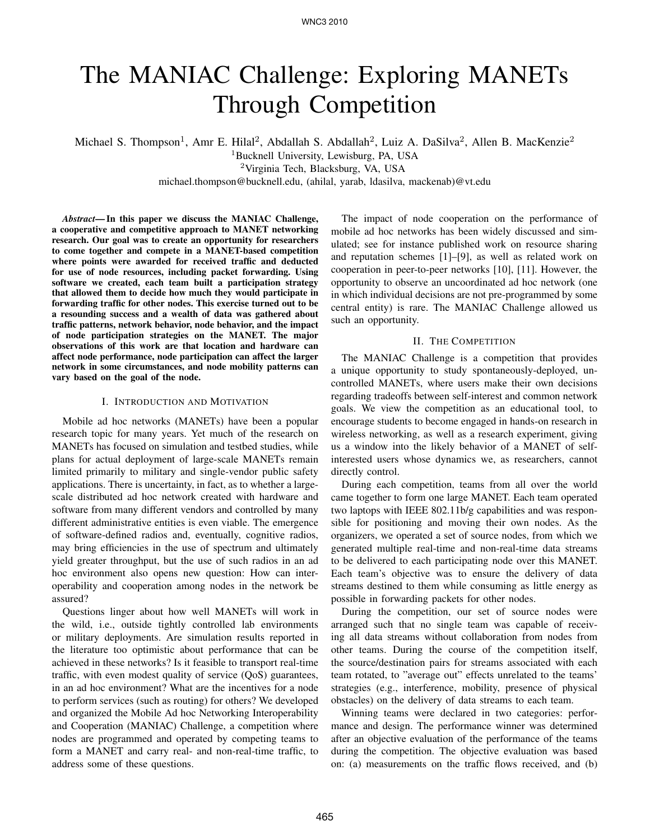# The MANIAC Challenge: Exploring MANETs Through Competition

Michael S. Thompson<sup>1</sup>, Amr E. Hilal<sup>2</sup>, Abdallah S. Abdallah<sup>2</sup>, Luiz A. DaSilva<sup>2</sup>, Allen B. MacKenzie<sup>2</sup>

<sup>1</sup>Bucknell University, Lewisburg, PA, USA

<sup>2</sup>Virginia Tech, Blacksburg, VA, USA

michael.thompson@bucknell.edu, (ahilal, yarab, ldasilva, mackenab)@vt.edu

*Abstract*— In this paper we discuss the MANIAC Challenge, a cooperative and competitive approach to MANET networking research. Our goal was to create an opportunity for researchers to come together and compete in a MANET-based competition where points were awarded for received traffic and deducted for use of node resources, including packet forwarding. Using software we created, each team built a participation strategy that allowed them to decide how much they would participate in forwarding traffic for other nodes. This exercise turned out to be a resounding success and a wealth of data was gathered about traffic patterns, network behavior, node behavior, and the impact of node participation strategies on the MANET. The major observations of this work are that location and hardware can affect node performance, node participation can affect the larger network in some circumstances, and node mobility patterns can vary based on the goal of the node.

#### I. INTRODUCTION AND MOTIVATION

Mobile ad hoc networks (MANETs) have been a popular research topic for many years. Yet much of the research on MANETs has focused on simulation and testbed studies, while plans for actual deployment of large-scale MANETs remain limited primarily to military and single-vendor public safety applications. There is uncertainty, in fact, as to whether a largescale distributed ad hoc network created with hardware and software from many different vendors and controlled by many different administrative entities is even viable. The emergence of software-defined radios and, eventually, cognitive radios, may bring efficiencies in the use of spectrum and ultimately yield greater throughput, but the use of such radios in an ad hoc environment also opens new question: How can interoperability and cooperation among nodes in the network be assured?

Questions linger about how well MANETs will work in the wild, i.e., outside tightly controlled lab environments or military deployments. Are simulation results reported in the literature too optimistic about performance that can be achieved in these networks? Is it feasible to transport real-time traffic, with even modest quality of service (QoS) guarantees, in an ad hoc environment? What are the incentives for a node to perform services (such as routing) for others? We developed and organized the Mobile Ad hoc Networking Interoperability and Cooperation (MANIAC) Challenge, a competition where nodes are programmed and operated by competing teams to form a MANET and carry real- and non-real-time traffic, to address some of these questions.

The impact of node cooperation on the performance of mobile ad hoc networks has been widely discussed and simulated; see for instance published work on resource sharing and reputation schemes [1]–[9], as well as related work on cooperation in peer-to-peer networks [10], [11]. However, the opportunity to observe an uncoordinated ad hoc network (one in which individual decisions are not pre-programmed by some central entity) is rare. The MANIAC Challenge allowed us such an opportunity.

#### II. THE COMPETITION

The MANIAC Challenge is a competition that provides a unique opportunity to study spontaneously-deployed, uncontrolled MANETs, where users make their own decisions regarding tradeoffs between self-interest and common network goals. We view the competition as an educational tool, to encourage students to become engaged in hands-on research in wireless networking, as well as a research experiment, giving us a window into the likely behavior of a MANET of selfinterested users whose dynamics we, as researchers, cannot directly control.

During each competition, teams from all over the world came together to form one large MANET. Each team operated two laptops with IEEE 802.11b/g capabilities and was responsible for positioning and moving their own nodes. As the organizers, we operated a set of source nodes, from which we generated multiple real-time and non-real-time data streams to be delivered to each participating node over this MANET. Each team's objective was to ensure the delivery of data streams destined to them while consuming as little energy as possible in forwarding packets for other nodes.

During the competition, our set of source nodes were arranged such that no single team was capable of receiving all data streams without collaboration from nodes from other teams. During the course of the competition itself, the source/destination pairs for streams associated with each team rotated, to "average out" effects unrelated to the teams' strategies (e.g., interference, mobility, presence of physical obstacles) on the delivery of data streams to each team.

Winning teams were declared in two categories: performance and design. The performance winner was determined after an objective evaluation of the performance of the teams during the competition. The objective evaluation was based on: (a) measurements on the traffic flows received, and (b)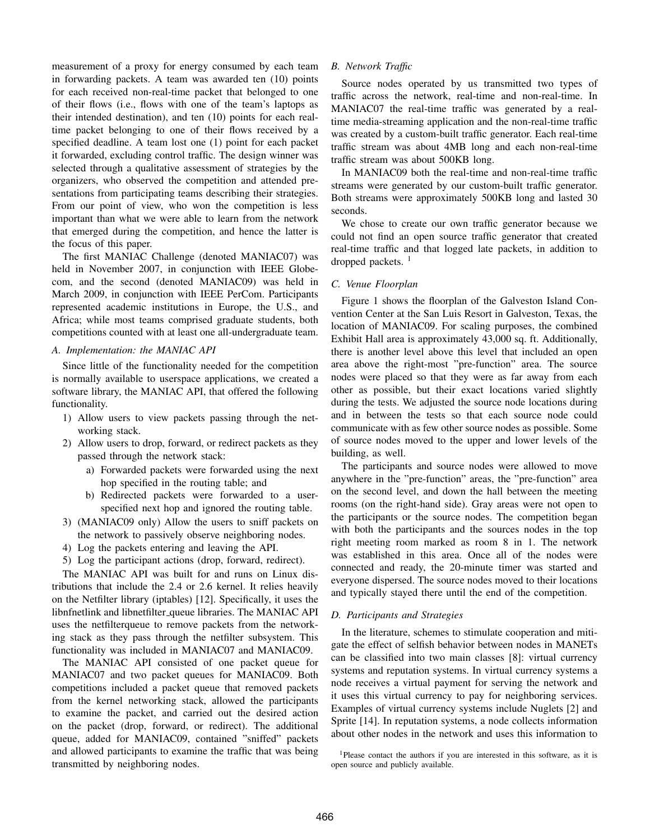measurement of a proxy for energy consumed by each team in forwarding packets. A team was awarded ten (10) points for each received non-real-time packet that belonged to one of their flows (i.e., flows with one of the team's laptops as their intended destination), and ten (10) points for each realtime packet belonging to one of their flows received by a specified deadline. A team lost one (1) point for each packet it forwarded, excluding control traffic. The design winner was selected through a qualitative assessment of strategies by the organizers, who observed the competition and attended presentations from participating teams describing their strategies. From our point of view, who won the competition is less important than what we were able to learn from the network that emerged during the competition, and hence the latter is the focus of this paper.

The first MANIAC Challenge (denoted MANIAC07) was held in November 2007, in conjunction with IEEE Globecom, and the second (denoted MANIAC09) was held in March 2009, in conjunction with IEEE PerCom. Participants represented academic institutions in Europe, the U.S., and Africa; while most teams comprised graduate students, both competitions counted with at least one all-undergraduate team.

#### *A. Implementation: the MANIAC API*

Since little of the functionality needed for the competition is normally available to userspace applications, we created a software library, the MANIAC API, that offered the following functionality.

- 1) Allow users to view packets passing through the networking stack.
- 2) Allow users to drop, forward, or redirect packets as they passed through the network stack:
	- a) Forwarded packets were forwarded using the next hop specified in the routing table; and
	- b) Redirected packets were forwarded to a userspecified next hop and ignored the routing table.
- 3) (MANIAC09 only) Allow the users to sniff packets on the network to passively observe neighboring nodes.
- 4) Log the packets entering and leaving the API.
- 5) Log the participant actions (drop, forward, redirect).

The MANIAC API was built for and runs on Linux distributions that include the 2.4 or 2.6 kernel. It relies heavily on the Netfilter library (iptables) [12]. Specifically, it uses the libnfnetlink and libnetfilter queue libraries. The MANIAC API uses the netfilterqueue to remove packets from the networking stack as they pass through the netfilter subsystem. This functionality was included in MANIAC07 and MANIAC09.

The MANIAC API consisted of one packet queue for MANIAC07 and two packet queues for MANIAC09. Both competitions included a packet queue that removed packets from the kernel networking stack, allowed the participants to examine the packet, and carried out the desired action on the packet (drop, forward, or redirect). The additional queue, added for MANIAC09, contained "sniffed" packets and allowed participants to examine the traffic that was being transmitted by neighboring nodes.

#### *B. Network Traffic*

Source nodes operated by us transmitted two types of traffic across the network, real-time and non-real-time. In MANIAC07 the real-time traffic was generated by a realtime media-streaming application and the non-real-time traffic was created by a custom-built traffic generator. Each real-time traffic stream was about 4MB long and each non-real-time traffic stream was about 500KB long.

In MANIAC09 both the real-time and non-real-time traffic streams were generated by our custom-built traffic generator. Both streams were approximately 500KB long and lasted 30 seconds.

We chose to create our own traffic generator because we could not find an open source traffic generator that created real-time traffic and that logged late packets, in addition to dropped packets.<sup>1</sup>

#### *C. Venue Floorplan*

Figure 1 shows the floorplan of the Galveston Island Convention Center at the San Luis Resort in Galveston, Texas, the location of MANIAC09. For scaling purposes, the combined Exhibit Hall area is approximately 43,000 sq. ft. Additionally, there is another level above this level that included an open area above the right-most "pre-function" area. The source nodes were placed so that they were as far away from each other as possible, but their exact locations varied slightly during the tests. We adjusted the source node locations during and in between the tests so that each source node could communicate with as few other source nodes as possible. Some of source nodes moved to the upper and lower levels of the building, as well.

The participants and source nodes were allowed to move anywhere in the "pre-function" areas, the "pre-function" area on the second level, and down the hall between the meeting rooms (on the right-hand side). Gray areas were not open to the participants or the source nodes. The competition began with both the participants and the sources nodes in the top right meeting room marked as room 8 in 1. The network was established in this area. Once all of the nodes were connected and ready, the 20-minute timer was started and everyone dispersed. The source nodes moved to their locations and typically stayed there until the end of the competition.

#### *D. Participants and Strategies*

In the literature, schemes to stimulate cooperation and mitigate the effect of selfish behavior between nodes in MANETs can be classified into two main classes [8]: virtual currency systems and reputation systems. In virtual currency systems a node receives a virtual payment for serving the network and it uses this virtual currency to pay for neighboring services. Examples of virtual currency systems include Nuglets [2] and Sprite [14]. In reputation systems, a node collects information about other nodes in the network and uses this information to

<sup>1</sup>Please contact the authors if you are interested in this software, as it is open source and publicly available.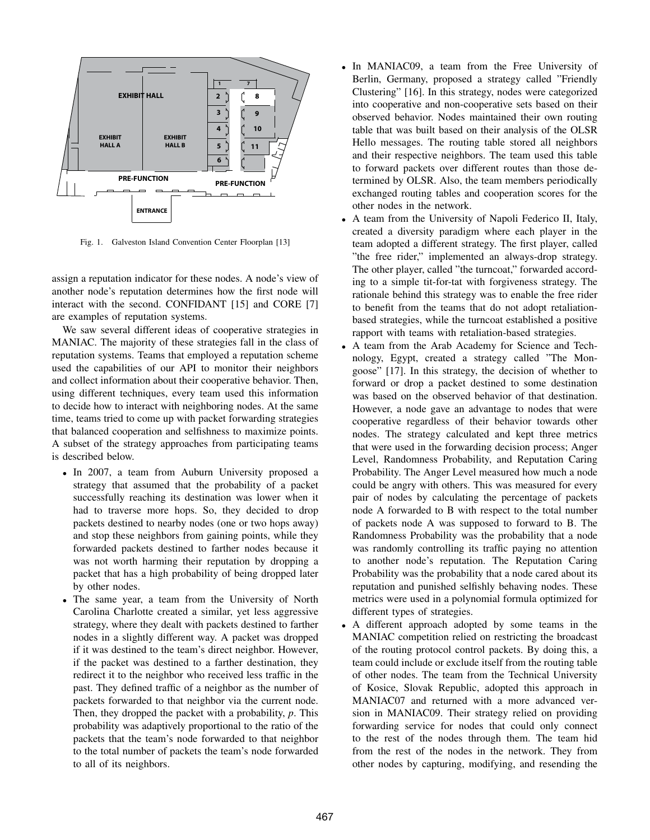

Fig. 1. Galveston Island Convention Center Floorplan [13]

assign a reputation indicator for these nodes. A node's view of another node's reputation determines how the first node will interact with the second. CONFIDANT [15] and CORE [7] are examples of reputation systems.

We saw several different ideas of cooperative strategies in MANIAC. The majority of these strategies fall in the class of reputation systems. Teams that employed a reputation scheme used the capabilities of our API to monitor their neighbors and collect information about their cooperative behavior. Then, using different techniques, every team used this information to decide how to interact with neighboring nodes. At the same time, teams tried to come up with packet forwarding strategies that balanced cooperation and selfishness to maximize points. A subset of the strategy approaches from participating teams is described below.

- In 2007, a team from Auburn University proposed a strategy that assumed that the probability of a packet successfully reaching its destination was lower when it had to traverse more hops. So, they decided to drop packets destined to nearby nodes (one or two hops away) and stop these neighbors from gaining points, while they forwarded packets destined to farther nodes because it was not worth harming their reputation by dropping a packet that has a high probability of being dropped later by other nodes.
- The same year, a team from the University of North Carolina Charlotte created a similar, yet less aggressive strategy, where they dealt with packets destined to farther nodes in a slightly different way. A packet was dropped if it was destined to the team's direct neighbor. However, if the packet was destined to a farther destination, they redirect it to the neighbor who received less traffic in the past. They defined traffic of a neighbor as the number of packets forwarded to that neighbor via the current node. Then, they dropped the packet with a probability, *p*. This probability was adaptively proportional to the ratio of the packets that the team's node forwarded to that neighbor to the total number of packets the team's node forwarded to all of its neighbors.
- In MANIAC09, a team from the Free University of Berlin, Germany, proposed a strategy called "Friendly Clustering" [16]. In this strategy, nodes were categorized into cooperative and non-cooperative sets based on their observed behavior. Nodes maintained their own routing table that was built based on their analysis of the OLSR Hello messages. The routing table stored all neighbors and their respective neighbors. The team used this table to forward packets over different routes than those determined by OLSR. Also, the team members periodically exchanged routing tables and cooperation scores for the other nodes in the network.
- A team from the University of Napoli Federico II, Italy, created a diversity paradigm where each player in the team adopted a different strategy. The first player, called "the free rider," implemented an always-drop strategy. The other player, called "the turncoat," forwarded according to a simple tit-for-tat with forgiveness strategy. The rationale behind this strategy was to enable the free rider to benefit from the teams that do not adopt retaliationbased strategies, while the turncoat established a positive rapport with teams with retaliation-based strategies.
- A team from the Arab Academy for Science and Technology, Egypt, created a strategy called "The Mongoose" [17]. In this strategy, the decision of whether to forward or drop a packet destined to some destination was based on the observed behavior of that destination. However, a node gave an advantage to nodes that were cooperative regardless of their behavior towards other nodes. The strategy calculated and kept three metrics that were used in the forwarding decision process; Anger Level, Randomness Probability, and Reputation Caring Probability. The Anger Level measured how much a node could be angry with others. This was measured for every pair of nodes by calculating the percentage of packets node A forwarded to B with respect to the total number of packets node A was supposed to forward to B. The Randomness Probability was the probability that a node was randomly controlling its traffic paying no attention to another node's reputation. The Reputation Caring Probability was the probability that a node cared about its reputation and punished selfishly behaving nodes. These metrics were used in a polynomial formula optimized for different types of strategies.
- A different approach adopted by some teams in the MANIAC competition relied on restricting the broadcast of the routing protocol control packets. By doing this, a team could include or exclude itself from the routing table of other nodes. The team from the Technical University of Kosice, Slovak Republic, adopted this approach in MANIAC07 and returned with a more advanced version in MANIAC09. Their strategy relied on providing forwarding service for nodes that could only connect to the rest of the nodes through them. The team hid from the rest of the nodes in the network. They from other nodes by capturing, modifying, and resending the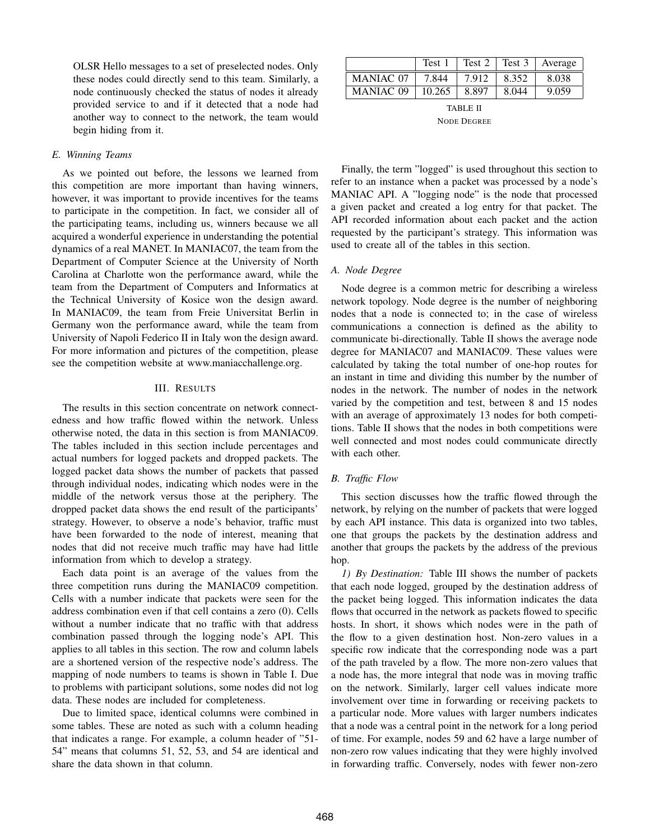OLSR Hello messages to a set of preselected nodes. Only these nodes could directly send to this team. Similarly, a node continuously checked the status of nodes it already provided service to and if it detected that a node had another way to connect to the network, the team would begin hiding from it.

#### *E. Winning Teams*

As we pointed out before, the lessons we learned from this competition are more important than having winners, however, it was important to provide incentives for the teams to participate in the competition. In fact, we consider all of the participating teams, including us, winners because we all acquired a wonderful experience in understanding the potential dynamics of a real MANET. In MANIAC07, the team from the Department of Computer Science at the University of North Carolina at Charlotte won the performance award, while the team from the Department of Computers and Informatics at the Technical University of Kosice won the design award. In MANIAC09, the team from Freie Universitat Berlin in Germany won the performance award, while the team from University of Napoli Federico II in Italy won the design award. For more information and pictures of the competition, please see the competition website at www.maniacchallenge.org.

#### III. RESULTS

The results in this section concentrate on network connectedness and how traffic flowed within the network. Unless otherwise noted, the data in this section is from MANIAC09. The tables included in this section include percentages and actual numbers for logged packets and dropped packets. The logged packet data shows the number of packets that passed through individual nodes, indicating which nodes were in the middle of the network versus those at the periphery. The dropped packet data shows the end result of the participants' strategy. However, to observe a node's behavior, traffic must have been forwarded to the node of interest, meaning that nodes that did not receive much traffic may have had little information from which to develop a strategy.

Each data point is an average of the values from the three competition runs during the MANIAC09 competition. Cells with a number indicate that packets were seen for the address combination even if that cell contains a zero (0). Cells without a number indicate that no traffic with that address combination passed through the logging node's API. This applies to all tables in this section. The row and column labels are a shortened version of the respective node's address. The mapping of node numbers to teams is shown in Table I. Due to problems with participant solutions, some nodes did not log data. These nodes are included for completeness.

Due to limited space, identical columns were combined in some tables. These are noted as such with a column heading that indicates a range. For example, a column header of "51- 54" means that columns 51, 52, 53, and 54 are identical and share the data shown in that column.

|                  | Test 1 | Test 2 | Test 3 | Average |
|------------------|--------|--------|--------|---------|
| <b>MANIAC 07</b> | 7 844  | 7.912  | 8.352  | 8.038   |
| <b>MANIAC 09</b> | 10.265 | 8.897  | 8.044  | 9.059   |

TABLE II NODE DEGREE

Finally, the term "logged" is used throughout this section to refer to an instance when a packet was processed by a node's MANIAC API. A "logging node" is the node that processed a given packet and created a log entry for that packet. The API recorded information about each packet and the action requested by the participant's strategy. This information was used to create all of the tables in this section.

#### *A. Node Degree*

Node degree is a common metric for describing a wireless network topology. Node degree is the number of neighboring nodes that a node is connected to; in the case of wireless communications a connection is defined as the ability to communicate bi-directionally. Table II shows the average node degree for MANIAC07 and MANIAC09. These values were calculated by taking the total number of one-hop routes for an instant in time and dividing this number by the number of nodes in the network. The number of nodes in the network varied by the competition and test, between 8 and 15 nodes with an average of approximately 13 nodes for both competitions. Table II shows that the nodes in both competitions were well connected and most nodes could communicate directly with each other.

#### *B. Traffic Flow*

This section discusses how the traffic flowed through the network, by relying on the number of packets that were logged by each API instance. This data is organized into two tables, one that groups the packets by the destination address and another that groups the packets by the address of the previous hop.

*1) By Destination:* Table III shows the number of packets that each node logged, grouped by the destination address of the packet being logged. This information indicates the data flows that occurred in the network as packets flowed to specific hosts. In short, it shows which nodes were in the path of the flow to a given destination host. Non-zero values in a specific row indicate that the corresponding node was a part of the path traveled by a flow. The more non-zero values that a node has, the more integral that node was in moving traffic on the network. Similarly, larger cell values indicate more involvement over time in forwarding or receiving packets to a particular node. More values with larger numbers indicates that a node was a central point in the network for a long period of time. For example, nodes 59 and 62 have a large number of non-zero row values indicating that they were highly involved in forwarding traffic. Conversely, nodes with fewer non-zero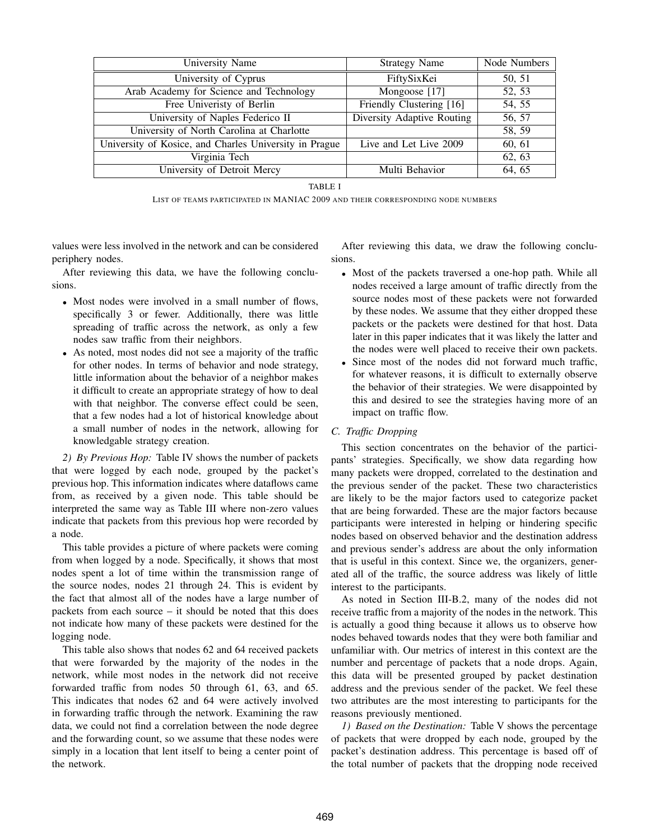| University Name                                        | <b>Strategy Name</b>       | Node Numbers |
|--------------------------------------------------------|----------------------------|--------------|
| University of Cyprus                                   | FiftySixKei                | 50, 51       |
| Arab Academy for Science and Technology                | Mongoose [17]              | 52, 53       |
| Free Univeristy of Berlin                              | Friendly Clustering [16]   | 54, 55       |
| University of Naples Federico II                       | Diversity Adaptive Routing | 56, 57       |
| University of North Carolina at Charlotte              |                            | 58, 59       |
| University of Kosice, and Charles University in Prague | Live and Let Live 2009     | 60, 61       |
| Virginia Tech                                          |                            | 62, 63       |
| University of Detroit Mercy                            | Multi Behavior             | 64, 65       |

TABLE I

LIST OF TEAMS PARTICIPATED IN MANIAC 2009 AND THEIR CORRESPONDING NODE NUMBERS

values were less involved in the network and can be considered periphery nodes.

After reviewing this data, we have the following conclusions.

- Most nodes were involved in a small number of flows, specifically 3 or fewer. Additionally, there was little spreading of traffic across the network, as only a few nodes saw traffic from their neighbors.
- As noted, most nodes did not see a majority of the traffic for other nodes. In terms of behavior and node strategy, little information about the behavior of a neighbor makes it difficult to create an appropriate strategy of how to deal with that neighbor. The converse effect could be seen, that a few nodes had a lot of historical knowledge about a small number of nodes in the network, allowing for knowledgable strategy creation.

*2) By Previous Hop:* Table IV shows the number of packets that were logged by each node, grouped by the packet's previous hop. This information indicates where dataflows came from, as received by a given node. This table should be interpreted the same way as Table III where non-zero values indicate that packets from this previous hop were recorded by a node.

This table provides a picture of where packets were coming from when logged by a node. Specifically, it shows that most nodes spent a lot of time within the transmission range of the source nodes, nodes 21 through 24. This is evident by the fact that almost all of the nodes have a large number of packets from each source – it should be noted that this does not indicate how many of these packets were destined for the logging node.

This table also shows that nodes 62 and 64 received packets that were forwarded by the majority of the nodes in the network, while most nodes in the network did not receive forwarded traffic from nodes 50 through 61, 63, and 65. This indicates that nodes 62 and 64 were actively involved in forwarding traffic through the network. Examining the raw data, we could not find a correlation between the node degree and the forwarding count, so we assume that these nodes were simply in a location that lent itself to being a center point of the network.

After reviewing this data, we draw the following conclusions.

- Most of the packets traversed a one-hop path. While all nodes received a large amount of traffic directly from the source nodes most of these packets were not forwarded by these nodes. We assume that they either dropped these packets or the packets were destined for that host. Data later in this paper indicates that it was likely the latter and the nodes were well placed to receive their own packets.
- Since most of the nodes did not forward much traffic, for whatever reasons, it is difficult to externally observe the behavior of their strategies. We were disappointed by this and desired to see the strategies having more of an impact on traffic flow.

#### *C. Traffic Dropping*

This section concentrates on the behavior of the participants' strategies. Specifically, we show data regarding how many packets were dropped, correlated to the destination and the previous sender of the packet. These two characteristics are likely to be the major factors used to categorize packet that are being forwarded. These are the major factors because participants were interested in helping or hindering specific nodes based on observed behavior and the destination address and previous sender's address are about the only information that is useful in this context. Since we, the organizers, generated all of the traffic, the source address was likely of little interest to the participants.

As noted in Section III-B.2, many of the nodes did not receive traffic from a majority of the nodes in the network. This is actually a good thing because it allows us to observe how nodes behaved towards nodes that they were both familiar and unfamiliar with. Our metrics of interest in this context are the number and percentage of packets that a node drops. Again, this data will be presented grouped by packet destination address and the previous sender of the packet. We feel these two attributes are the most interesting to participants for the reasons previously mentioned.

*1) Based on the Destination:* Table V shows the percentage of packets that were dropped by each node, grouped by the packet's destination address. This percentage is based off of the total number of packets that the dropping node received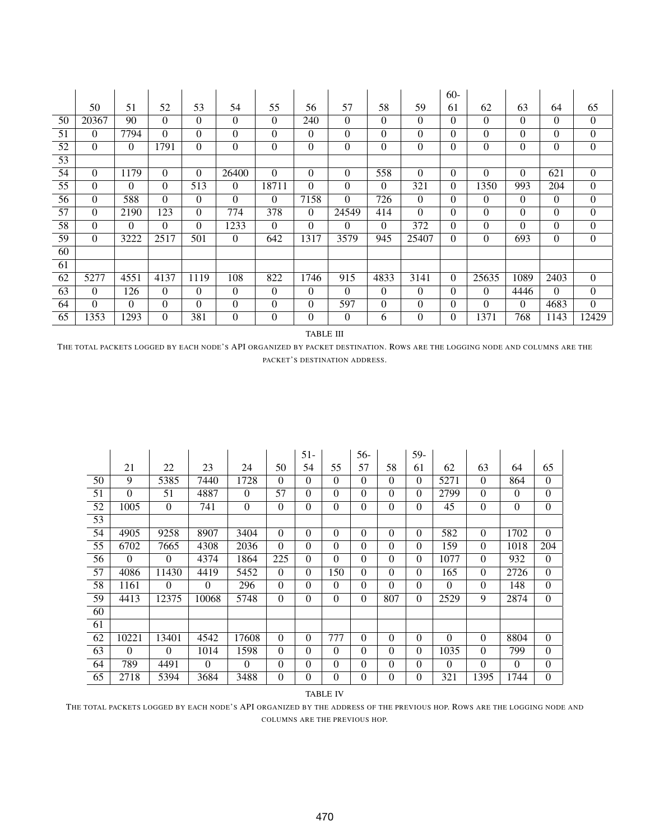|                 |          |          |          |          |          |          |          |          |          |          | $60 -$   |          |          |          |                  |
|-----------------|----------|----------|----------|----------|----------|----------|----------|----------|----------|----------|----------|----------|----------|----------|------------------|
|                 | 50       | 51       | 52       | 53       | 54       | 55       | 56       | 57       | 58       | 59       | 61       | 62       | 63       | 64       | 65               |
| 50              | 20367    | 90       | $\Omega$ | $\Omega$ | $\Omega$ | $\theta$ | 240      | $\theta$ | $\Omega$ | $\Omega$ | $\Omega$ | $\Omega$ | $\Omega$ | $\Omega$ | $\overline{0}$   |
| 51              | $\Omega$ | 7794     | $\Omega$ | $\Omega$ | $\theta$ | $\theta$ | $\Omega$ | $\theta$ | $\Omega$ | 0        | $\Omega$ | $\theta$ | $\Omega$ | $\Omega$ | $\overline{0}$   |
| 52              | $\theta$ | $\theta$ | 1791     | $\Omega$ | $\theta$ | $\theta$ | $\Omega$ | $\theta$ | $\Omega$ | $\theta$ | $\theta$ | $\theta$ | $\Omega$ | $\theta$ | $\overline{0}$   |
| 53              |          |          |          |          |          |          |          |          |          |          |          |          |          |          |                  |
| 54              | $\Omega$ | 1179     | $\Omega$ | $\Omega$ | 26400    | $\Omega$ | $\Omega$ | $\theta$ | 558      | $\theta$ | $\theta$ | $\theta$ | $\Omega$ | 621      | $\overline{0}$   |
| $\overline{55}$ | $\theta$ | $\Omega$ | $\Omega$ | 513      | $\theta$ | 18711    | $\theta$ | $\theta$ | $\theta$ | 321      | $\Omega$ | 1350     | 993      | 204      | $\boldsymbol{0}$ |
| 56              | $\Omega$ | 588      | $\Omega$ | $\Omega$ | $\theta$ | $\theta$ | 7158     | $\theta$ | 726      | $\theta$ | $\Omega$ | $\Omega$ | $\Omega$ | $\Omega$ | $\overline{0}$   |
| 57              | $\Omega$ | 2190     | 123      | $\Omega$ | 774      | 378      | $\Omega$ | 24549    | 414      | $\theta$ | $\theta$ | $\theta$ | $\Omega$ | $\Omega$ | $\boldsymbol{0}$ |
| 58              | $\Omega$ | $\theta$ | $\Omega$ | $\theta$ | 1233     | $\Omega$ | $\Omega$ | $\Omega$ | $\Omega$ | 372      | $\theta$ | $\theta$ | $\Omega$ | $\Omega$ | $\overline{0}$   |
| 59              | $\Omega$ | 3222     | 2517     | 501      | $\Omega$ | 642      | 1317     | 3579     | 945      | 25407    | $\Omega$ | $\theta$ | 693      | $\Omega$ | $\mathbf{0}$     |
| 60              |          |          |          |          |          |          |          |          |          |          |          |          |          |          |                  |
| 61              |          |          |          |          |          |          |          |          |          |          |          |          |          |          |                  |
| 62              | 5277     | 4551     | 4137     | 1119     | 108      | 822      | 1746     | 915      | 4833     | 3141     | $\theta$ | 25635    | 1089     | 2403     | $\mathbf{0}$     |
| 63              | $\Omega$ | 126      | $\Omega$ | $\Omega$ | $\theta$ | $\Omega$ | $\theta$ | $\Omega$ | $\Omega$ | $\theta$ | $\Omega$ | $\theta$ | 4446     | $\Omega$ | $\overline{0}$   |
| 64              | $\Omega$ | $\Omega$ | $\Omega$ | $\Omega$ | $\theta$ | $\theta$ | $\Omega$ | 597      | $\Omega$ | $\theta$ | $\Omega$ | $\Omega$ | $\Omega$ | 4683     | $\theta$         |
| 65              | 1353     | 293      | $\Omega$ | 381      | $\theta$ | $\theta$ | $\theta$ | $\theta$ | 6        | $\theta$ | $\theta$ | 1371     | 768      | 1143     | 12429            |

TABLE III

THE TOTAL PACKETS LOGGED BY EACH NODE'S API ORGANIZED BY PACKET DESTINATION. ROWS ARE THE LOGGING NODE AND COLUMNS ARE THE PACKET'S DESTINATION ADDRESS.

|    |          |          |          |          |          | $51-$    |          | 56-      |                | 59-              |          |          |          |          |
|----|----------|----------|----------|----------|----------|----------|----------|----------|----------------|------------------|----------|----------|----------|----------|
|    | 21       | 22       | 23       | 24       | 50       | 54       | 55       | 57       | 58             | 61               | 62       | 63       | 64       | 65       |
| 50 | 9        | 5385     | 7440     | 1728     | $\Omega$ | $\Omega$ | $\Omega$ | $\theta$ | $\Omega$       | $\Omega$         | 5271     | $\Omega$ | 864      | $\Omega$ |
| 51 | $\Omega$ | 51       | 4887     | $\Omega$ | 57       | $\Omega$ | $\Omega$ | $\theta$ | $\Omega$       | $\boldsymbol{0}$ | 2799     | $\Omega$ | $\Omega$ | $\Omega$ |
| 52 | 1005     | $\Omega$ | 741      | $\theta$ | $\theta$ | $\theta$ | $\Omega$ | $\theta$ | $\Omega$       | $\boldsymbol{0}$ | 45       | $\Omega$ | $\theta$ | $\Omega$ |
| 53 |          |          |          |          |          |          |          |          |                |                  |          |          |          |          |
| 54 | 4905     | 9258     | 8907     | 3404     | $\Omega$ | $\Omega$ | $\Omega$ | $\theta$ | $\Omega$       | $\mathbf{0}$     | 582      | $\Omega$ | 1702     | $\Omega$ |
| 55 | 6702     | 7665     | 4308     | 2036     | $\Omega$ | $\Omega$ | $\theta$ | $\theta$ | $\Omega$       | $\boldsymbol{0}$ | 159      | $\Omega$ | 1018     | 204      |
| 56 | $\Omega$ | $\Omega$ | 4374     | 1864     | 225      | $\Omega$ | $\Omega$ | $\theta$ | $\Omega$       | $\Omega$         | 1077     | $\Omega$ | 932      | $\Omega$ |
| 57 | 4086     | 11430    | 4419     | 5452     | $\Omega$ | $\Omega$ | 150      | $\Omega$ | $\Omega$       | $\mathbf{0}$     | 165      | $\Omega$ | 2726     | $\Omega$ |
| 58 | 1161     | $\Omega$ | $\Omega$ | 296      | $\theta$ | $\Omega$ | $\Omega$ | $\Omega$ | $\Omega$       | $\boldsymbol{0}$ | $\Omega$ | $\theta$ | 148      | $\theta$ |
| 59 | 4413     | 12375    | 10068    | 5748     | $\Omega$ | $\Omega$ | $\Omega$ | $\Omega$ | 807            | $\boldsymbol{0}$ | 2529     | 9        | 2874     | $\Omega$ |
| 60 |          |          |          |          |          |          |          |          |                |                  |          |          |          |          |
| 61 |          |          |          |          |          |          |          |          |                |                  |          |          |          |          |
| 62 | 10221    | 13401    | 4542     | 17608    | $\Omega$ | $\Omega$ | 777      | $\theta$ | $\Omega$       | $\theta$         | $\theta$ | $\Omega$ | 8804     | $\Omega$ |
| 63 | $\Omega$ | $\Omega$ | 1014     | 1598     | $\Omega$ | $\Omega$ | $\Omega$ | $\theta$ | $\Omega$       | $\boldsymbol{0}$ | 1035     | $\Omega$ | 799      | $\Omega$ |
| 64 | 789      | 4491     | $\Omega$ | $\Omega$ | $\Omega$ | $\Omega$ | $\Omega$ | $\theta$ | $\Omega$       | $\theta$         | $\Omega$ | $\theta$ | $\Omega$ | $\Omega$ |
| 65 | 2718     | 5394     | 3684     | 3488     | $\theta$ | $\Omega$ | $\theta$ | $\theta$ | $\overline{0}$ | $\theta$         | 321      | 1395     | 1744     | $\Omega$ |

#### TABLE IV

THE TOTAL PACKETS LOGGED BY EACH NODE'S API ORGANIZED BY THE ADDRESS OF THE PREVIOUS HOP. ROWS ARE THE LOGGING NODE AND COLUMNS ARE THE PREVIOUS HOP.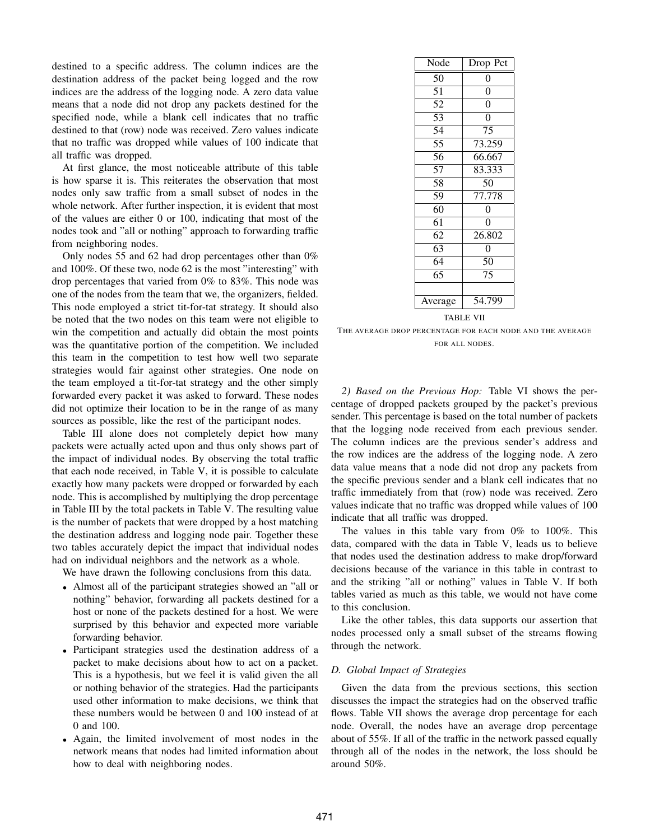destined to a specific address. The column indices are the destination address of the packet being logged and the row indices are the address of the logging node. A zero data value means that a node did not drop any packets destined for the specified node, while a blank cell indicates that no traffic destined to that (row) node was received. Zero values indicate that no traffic was dropped while values of 100 indicate that all traffic was dropped.

At first glance, the most noticeable attribute of this table is how sparse it is. This reiterates the observation that most nodes only saw traffic from a small subset of nodes in the whole network. After further inspection, it is evident that most of the values are either 0 or 100, indicating that most of the nodes took and "all or nothing" approach to forwarding traffic from neighboring nodes.

Only nodes 55 and 62 had drop percentages other than 0% and 100%. Of these two, node 62 is the most "interesting" with drop percentages that varied from 0% to 83%. This node was one of the nodes from the team that we, the organizers, fielded. This node employed a strict tit-for-tat strategy. It should also be noted that the two nodes on this team were not eligible to win the competition and actually did obtain the most points was the quantitative portion of the competition. We included this team in the competition to test how well two separate strategies would fair against other strategies. One node on the team employed a tit-for-tat strategy and the other simply forwarded every packet it was asked to forward. These nodes did not optimize their location to be in the range of as many sources as possible, like the rest of the participant nodes.

Table III alone does not completely depict how many packets were actually acted upon and thus only shows part of the impact of individual nodes. By observing the total traffic that each node received, in Table V, it is possible to calculate exactly how many packets were dropped or forwarded by each node. This is accomplished by multiplying the drop percentage in Table III by the total packets in Table V. The resulting value is the number of packets that were dropped by a host matching the destination address and logging node pair. Together these two tables accurately depict the impact that individual nodes had on individual neighbors and the network as a whole.

We have drawn the following conclusions from this data.

- Almost all of the participant strategies showed an "all or nothing" behavior, forwarding all packets destined for a host or none of the packets destined for a host. We were surprised by this behavior and expected more variable forwarding behavior.
- Participant strategies used the destination address of a packet to make decisions about how to act on a packet. This is a hypothesis, but we feel it is valid given the all or nothing behavior of the strategies. Had the participants used other information to make decisions, we think that these numbers would be between 0 and 100 instead of at 0 and 100.
- Again, the limited involvement of most nodes in the network means that nodes had limited information about how to deal with neighboring nodes.

| Node            | Drop Pct            |
|-----------------|---------------------|
| 50              | 0                   |
| $\overline{5}1$ | 0                   |
| 52              | $\overline{0}$      |
| $\overline{53}$ | $\overline{0}$      |
| 54              | 75                  |
| 55              | 73.259              |
| 56              | 66.667              |
| 57              | 83.333              |
| 58              | 50                  |
| 59              | 77.778              |
| 60              | 0                   |
| $\overline{61}$ | 0                   |
| 62              | $26.\overline{802}$ |
| 63              | $\theta$            |
| 64              | 50                  |
| $6\overline{5}$ | 75                  |
|                 |                     |
| Average         | 54.799              |

TABLE VII

THE AVERAGE DROP PERCENTAGE FOR EACH NODE AND THE AVERAGE FOR ALL NODES.

*2) Based on the Previous Hop:* Table VI shows the percentage of dropped packets grouped by the packet's previous sender. This percentage is based on the total number of packets that the logging node received from each previous sender. The column indices are the previous sender's address and the row indices are the address of the logging node. A zero data value means that a node did not drop any packets from the specific previous sender and a blank cell indicates that no traffic immediately from that (row) node was received. Zero values indicate that no traffic was dropped while values of 100 indicate that all traffic was dropped.

The values in this table vary from 0% to 100%. This data, compared with the data in Table V, leads us to believe that nodes used the destination address to make drop/forward decisions because of the variance in this table in contrast to and the striking "all or nothing" values in Table V. If both tables varied as much as this table, we would not have come to this conclusion.

Like the other tables, this data supports our assertion that nodes processed only a small subset of the streams flowing through the network.

#### *D. Global Impact of Strategies*

Given the data from the previous sections, this section discusses the impact the strategies had on the observed traffic flows. Table VII shows the average drop percentage for each node. Overall, the nodes have an average drop percentage about of 55%. If all of the traffic in the network passed equally through all of the nodes in the network, the loss should be around 50%.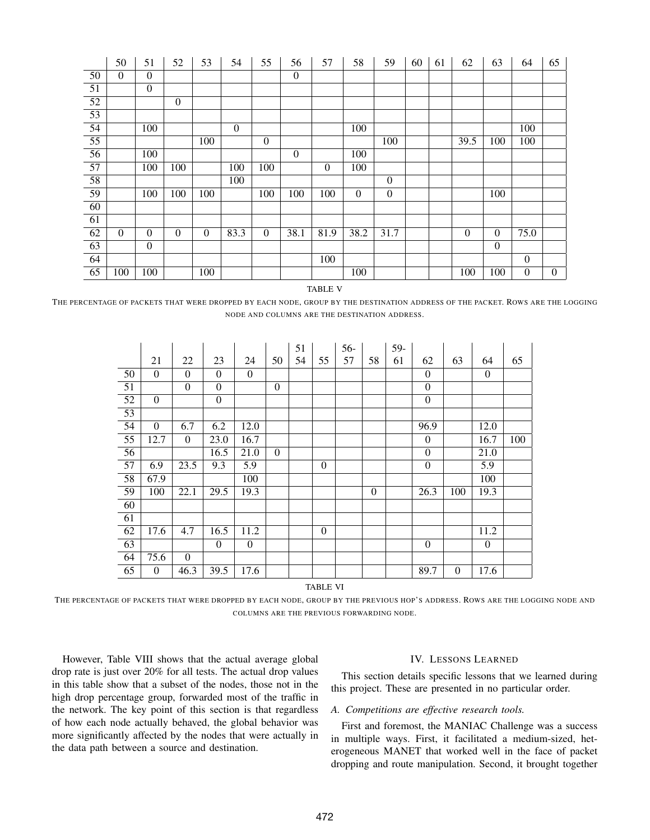|                 | 50           | 51               | 52               | 53               | 54             | 55               | 56               | 57           | 58               | 59               | 60 | 61 | 62       | 63               | 64               | 65             |
|-----------------|--------------|------------------|------------------|------------------|----------------|------------------|------------------|--------------|------------------|------------------|----|----|----------|------------------|------------------|----------------|
| 50              | $\theta$     | $\overline{0}$   |                  |                  |                |                  | $\mathbf{0}$     |              |                  |                  |    |    |          |                  |                  |                |
| $\overline{51}$ |              | $\overline{0}$   |                  |                  |                |                  |                  |              |                  |                  |    |    |          |                  |                  |                |
| $\overline{52}$ |              |                  | $\overline{0}$   |                  |                |                  |                  |              |                  |                  |    |    |          |                  |                  |                |
| $\overline{53}$ |              |                  |                  |                  |                |                  |                  |              |                  |                  |    |    |          |                  |                  |                |
| $\overline{54}$ |              | $\overline{100}$ |                  |                  | $\overline{0}$ |                  |                  |              | $\overline{100}$ |                  |    |    |          |                  | $\overline{100}$ |                |
| $\overline{55}$ |              |                  |                  | 100              |                | $\boldsymbol{0}$ |                  |              |                  | 100              |    |    | 39.5     | 100              | 100              |                |
| $\overline{56}$ |              | 100              |                  |                  |                |                  | $\boldsymbol{0}$ |              | 100              |                  |    |    |          |                  |                  |                |
| $\overline{57}$ |              | 100              | 100              |                  | 100            | 100              |                  | $\mathbf{0}$ | 100              |                  |    |    |          |                  |                  |                |
| $\overline{58}$ |              |                  |                  |                  | 100            |                  |                  |              |                  | $\boldsymbol{0}$ |    |    |          |                  |                  |                |
| 59              |              | 100              | 100              | 100              |                | 100              | 100              | 100          | $\mathbf{0}$     | $\overline{0}$   |    |    |          | 100              |                  |                |
| 60              |              |                  |                  |                  |                |                  |                  |              |                  |                  |    |    |          |                  |                  |                |
| 61              |              |                  |                  |                  |                |                  |                  |              |                  |                  |    |    |          |                  |                  |                |
| $\overline{62}$ | $\mathbf{0}$ | $\overline{0}$   | $\boldsymbol{0}$ | $\boldsymbol{0}$ | 83.3           | $\boldsymbol{0}$ | 38.1             | 81.9         | 38.2             | 31.7             |    |    | $\theta$ | $\boldsymbol{0}$ | 75.0             |                |
| $\overline{63}$ |              | $\boldsymbol{0}$ |                  |                  |                |                  |                  |              |                  |                  |    |    |          | $\boldsymbol{0}$ |                  |                |
| 64              |              |                  |                  |                  |                |                  |                  | 100          |                  |                  |    |    |          |                  | $\overline{0}$   |                |
| $\overline{65}$ | 100          | 100              |                  | 100              |                |                  |                  |              | 100              |                  |    |    | 100      | 100              | $\overline{0}$   | $\overline{0}$ |

TABLE V

THE PERCENTAGE OF PACKETS THAT WERE DROPPED BY EACH NODE, GROUP BY THE DESTINATION ADDRESS OF THE PACKET. ROWS ARE THE LOGGING NODE AND COLUMNS ARE THE DESTINATION ADDRESS.

|                 |                  |                  |                  |                  |                  | 51 |              | 56- |                  | 59- |                  |              |                  |     |
|-----------------|------------------|------------------|------------------|------------------|------------------|----|--------------|-----|------------------|-----|------------------|--------------|------------------|-----|
|                 | 21               | 22               | 23               | 24               | 50               | 54 | 55           | 57  | 58               | 61  | 62               | 63           | 64               | 65  |
| $\overline{50}$ | $\mathbf{0}$     | $\overline{0}$   | $\mathbf{0}$     | $\boldsymbol{0}$ |                  |    |              |     |                  |     | $\boldsymbol{0}$ |              | $\boldsymbol{0}$ |     |
| $\overline{51}$ |                  | $\overline{0}$   | $\boldsymbol{0}$ |                  | $\overline{0}$   |    |              |     |                  |     | $\overline{0}$   |              |                  |     |
| $\overline{52}$ | $\mathbf{0}$     |                  | $\overline{0}$   |                  |                  |    |              |     |                  |     | $\overline{0}$   |              |                  |     |
| $\overline{53}$ |                  |                  |                  |                  |                  |    |              |     |                  |     |                  |              |                  |     |
| $\overline{54}$ | $\boldsymbol{0}$ | 6.7              | 6.2              | 12.0             |                  |    |              |     |                  |     | 96.9             |              | 12.0             |     |
| $\overline{55}$ | 12.7             | $\boldsymbol{0}$ | 23.0             | 16.7             |                  |    |              |     |                  |     | $\boldsymbol{0}$ |              | 16.7             | 100 |
| 56              |                  |                  | 16.5             | 21.0             | $\boldsymbol{0}$ |    |              |     |                  |     | $\boldsymbol{0}$ |              | 21.0             |     |
| 57              | 6.9              | 23.5             | 9.3              | $\overline{5.9}$ |                  |    | $\mathbf{0}$ |     |                  |     | $\overline{0}$   |              | $\overline{5.9}$ |     |
| 58              | 67.9             |                  |                  | 100              |                  |    |              |     |                  |     |                  |              | 100              |     |
| 59              | 100              | 22.1             | 29.5             | 19.3             |                  |    |              |     | $\boldsymbol{0}$ |     | 26.3             | 100          | 19.3             |     |
| 60              |                  |                  |                  |                  |                  |    |              |     |                  |     |                  |              |                  |     |
| $\overline{61}$ |                  |                  |                  |                  |                  |    |              |     |                  |     |                  |              |                  |     |
| 62              | 17.6             | 4.7              | 16.5             | 11.2             |                  |    | $\mathbf{0}$ |     |                  |     |                  |              | 11.2             |     |
| 63              |                  |                  | $\mathbf{0}$     | $\overline{0}$   |                  |    |              |     |                  |     | $\boldsymbol{0}$ |              | $\mathbf{0}$     |     |
| 64              | 75.6             | $\boldsymbol{0}$ |                  |                  |                  |    |              |     |                  |     |                  |              |                  |     |
| 65              | $\boldsymbol{0}$ | 46.3             | 39.5             | 17.6             |                  |    |              |     |                  |     | 89.7             | $\mathbf{0}$ | 17.6             |     |

TABLE VI

THE PERCENTAGE OF PACKETS THAT WERE DROPPED BY EACH NODE, GROUP BY THE PREVIOUS HOP'S ADDRESS. ROWS ARE THE LOGGING NODE AND COLUMNS ARE THE PREVIOUS FORWARDING NODE.

However, Table VIII shows that the actual average global drop rate is just over 20% for all tests. The actual drop values in this table show that a subset of the nodes, those not in the high drop percentage group, forwarded most of the traffic in the network. The key point of this section is that regardless of how each node actually behaved, the global behavior was more significantly affected by the nodes that were actually in the data path between a source and destination.

#### IV. LESSONS LEARNED

This section details specific lessons that we learned during this project. These are presented in no particular order.

#### *A. Competitions are effective research tools.*

First and foremost, the MANIAC Challenge was a success in multiple ways. First, it facilitated a medium-sized, heterogeneous MANET that worked well in the face of packet dropping and route manipulation. Second, it brought together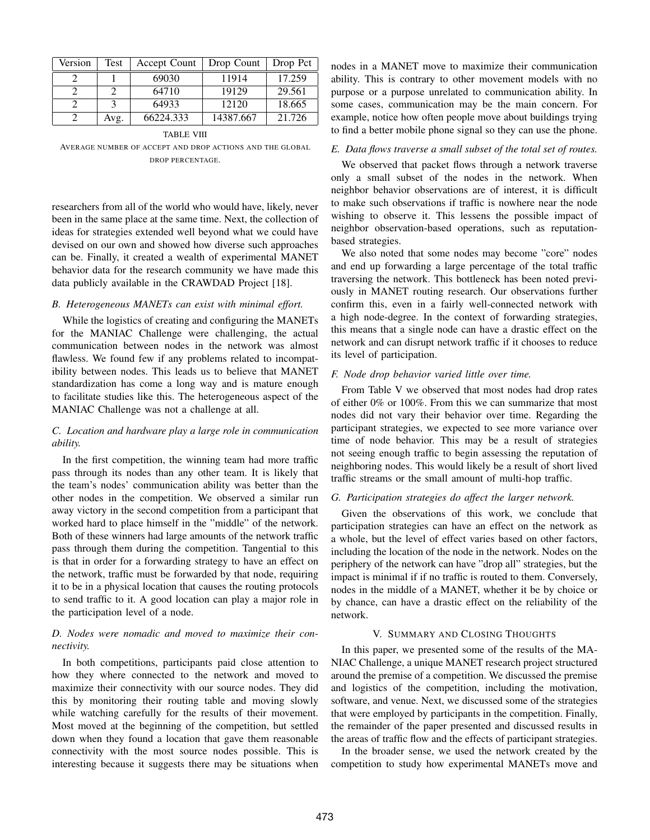| Version | Test | Accept Count | Drop Count | Drop Pct |
|---------|------|--------------|------------|----------|
|         |      | 69030        | 11914      | 17.259   |
|         |      | 64710        | 19129      | 29.561   |
|         |      | 64933        | 12120      | 18.665   |
|         | Avg. | 66224.333    | 14387.667  | 21.726   |

TABLE VIII

AVERAGE NUMBER OF ACCEPT AND DROP ACTIONS AND THE GLOBAL DROP PERCENTAGE.

researchers from all of the world who would have, likely, never been in the same place at the same time. Next, the collection of ideas for strategies extended well beyond what we could have devised on our own and showed how diverse such approaches can be. Finally, it created a wealth of experimental MANET behavior data for the research community we have made this data publicly available in the CRAWDAD Project [18].

#### *B. Heterogeneous MANETs can exist with minimal effort.*

While the logistics of creating and configuring the MANETs for the MANIAC Challenge were challenging, the actual communication between nodes in the network was almost flawless. We found few if any problems related to incompatibility between nodes. This leads us to believe that MANET standardization has come a long way and is mature enough to facilitate studies like this. The heterogeneous aspect of the MANIAC Challenge was not a challenge at all.

#### *C. Location and hardware play a large role in communication ability.*

In the first competition, the winning team had more traffic pass through its nodes than any other team. It is likely that the team's nodes' communication ability was better than the other nodes in the competition. We observed a similar run away victory in the second competition from a participant that worked hard to place himself in the "middle" of the network. Both of these winners had large amounts of the network traffic pass through them during the competition. Tangential to this is that in order for a forwarding strategy to have an effect on the network, traffic must be forwarded by that node, requiring it to be in a physical location that causes the routing protocols to send traffic to it. A good location can play a major role in the participation level of a node.

#### *D. Nodes were nomadic and moved to maximize their connectivity.*

In both competitions, participants paid close attention to how they where connected to the network and moved to maximize their connectivity with our source nodes. They did this by monitoring their routing table and moving slowly while watching carefully for the results of their movement. Most moved at the beginning of the competition, but settled down when they found a location that gave them reasonable connectivity with the most source nodes possible. This is interesting because it suggests there may be situations when nodes in a MANET move to maximize their communication ability. This is contrary to other movement models with no purpose or a purpose unrelated to communication ability. In some cases, communication may be the main concern. For example, notice how often people move about buildings trying to find a better mobile phone signal so they can use the phone.

#### *E. Data flows traverse a small subset of the total set of routes.*

We observed that packet flows through a network traverse only a small subset of the nodes in the network. When neighbor behavior observations are of interest, it is difficult to make such observations if traffic is nowhere near the node wishing to observe it. This lessens the possible impact of neighbor observation-based operations, such as reputationbased strategies.

We also noted that some nodes may become "core" nodes and end up forwarding a large percentage of the total traffic traversing the network. This bottleneck has been noted previously in MANET routing research. Our observations further confirm this, even in a fairly well-connected network with a high node-degree. In the context of forwarding strategies, this means that a single node can have a drastic effect on the network and can disrupt network traffic if it chooses to reduce its level of participation.

#### *F. Node drop behavior varied little over time.*

From Table V we observed that most nodes had drop rates of either 0% or 100%. From this we can summarize that most nodes did not vary their behavior over time. Regarding the participant strategies, we expected to see more variance over time of node behavior. This may be a result of strategies not seeing enough traffic to begin assessing the reputation of neighboring nodes. This would likely be a result of short lived traffic streams or the small amount of multi-hop traffic.

#### *G. Participation strategies do affect the larger network.*

Given the observations of this work, we conclude that participation strategies can have an effect on the network as a whole, but the level of effect varies based on other factors, including the location of the node in the network. Nodes on the periphery of the network can have "drop all" strategies, but the impact is minimal if if no traffic is routed to them. Conversely, nodes in the middle of a MANET, whether it be by choice or by chance, can have a drastic effect on the reliability of the network.

#### V. SUMMARY AND CLOSING THOUGHTS

In this paper, we presented some of the results of the MA-NIAC Challenge, a unique MANET research project structured around the premise of a competition. We discussed the premise and logistics of the competition, including the motivation, software, and venue. Next, we discussed some of the strategies that were employed by participants in the competition. Finally, the remainder of the paper presented and discussed results in the areas of traffic flow and the effects of participant strategies.

In the broader sense, we used the network created by the competition to study how experimental MANETs move and